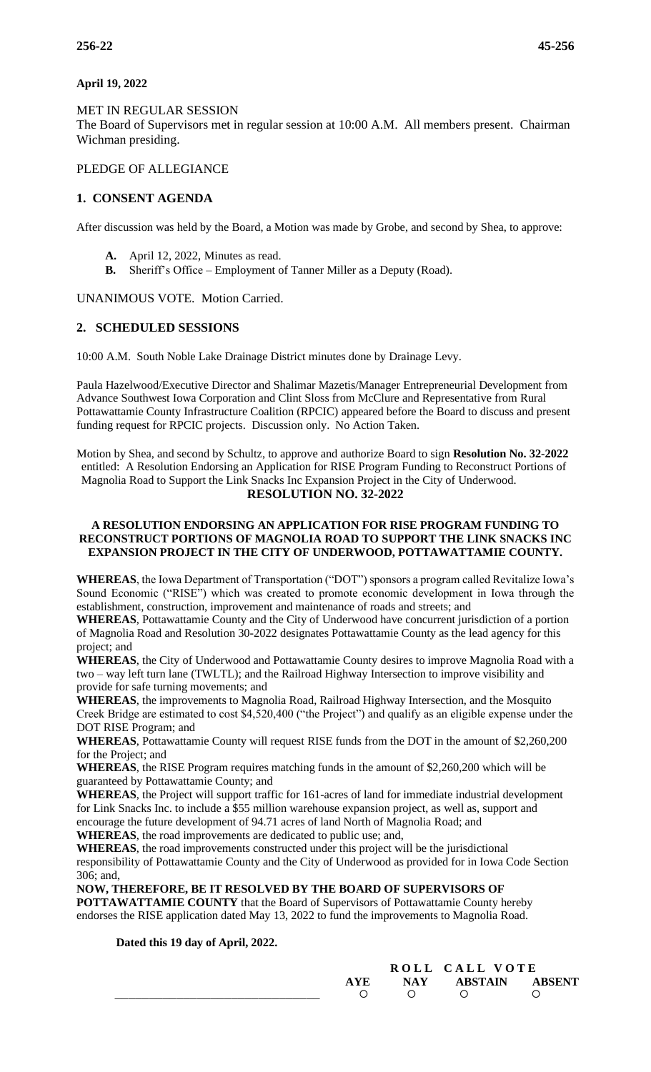## **April 19, 2022**

MET IN REGULAR SESSION

The Board of Supervisors met in regular session at 10:00 A.M. All members present. Chairman Wichman presiding.

PLEDGE OF ALLEGIANCE

# **1. CONSENT AGENDA**

After discussion was held by the Board, a Motion was made by Grobe, and second by Shea, to approve:

- **A.** April 12, 2022, Minutes as read.
- **B.** Sheriff's Office Employment of Tanner Miller as a Deputy (Road).

UNANIMOUS VOTE. Motion Carried.

## **2. SCHEDULED SESSIONS**

10:00 A.M. South Noble Lake Drainage District minutes done by Drainage Levy.

Paula Hazelwood/Executive Director and Shalimar Mazetis/Manager Entrepreneurial Development from Advance Southwest Iowa Corporation and Clint Sloss from McClure and Representative from Rural Pottawattamie County Infrastructure Coalition (RPCIC) appeared before the Board to discuss and present funding request for RPCIC projects. Discussion only. No Action Taken.

Motion by Shea, and second by Schultz, to approve and authorize Board to sign **Resolution No. 32-2022** entitled: A Resolution Endorsing an Application for RISE Program Funding to Reconstruct Portions of Magnolia Road to Support the Link Snacks Inc Expansion Project in the City of Underwood. **RESOLUTION NO. 32-2022**

### **A RESOLUTION ENDORSING AN APPLICATION FOR RISE PROGRAM FUNDING TO RECONSTRUCT PORTIONS OF MAGNOLIA ROAD TO SUPPORT THE LINK SNACKS INC EXPANSION PROJECT IN THE CITY OF UNDERWOOD, POTTAWATTAMIE COUNTY.**

**WHEREAS**, the Iowa Department of Transportation ("DOT") sponsors a program called Revitalize Iowa's Sound Economic ("RISE") which was created to promote economic development in Iowa through the establishment, construction, improvement and maintenance of roads and streets; and

**WHEREAS**, Pottawattamie County and the City of Underwood have concurrent jurisdiction of a portion of Magnolia Road and Resolution 30-2022 designates Pottawattamie County as the lead agency for this project; and

**WHEREAS**, the City of Underwood and Pottawattamie County desires to improve Magnolia Road with a two – way left turn lane (TWLTL); and the Railroad Highway Intersection to improve visibility and provide for safe turning movements; and

**WHEREAS**, the improvements to Magnolia Road, Railroad Highway Intersection, and the Mosquito Creek Bridge are estimated to cost \$4,520,400 ("the Project") and qualify as an eligible expense under the DOT RISE Program; and

**WHEREAS**, Pottawattamie County will request RISE funds from the DOT in the amount of \$2,260,200 for the Project; and

**WHEREAS**, the RISE Program requires matching funds in the amount of \$2,260,200 which will be guaranteed by Pottawattamie County; and

**WHEREAS**, the Project will support traffic for 161-acres of land for immediate industrial development for Link Snacks Inc. to include a \$55 million warehouse expansion project, as well as, support and encourage the future development of 94.71 acres of land North of Magnolia Road; and

**WHEREAS**, the road improvements are dedicated to public use; and,

**WHEREAS**, the road improvements constructed under this project will be the jurisdictional responsibility of Pottawattamie County and the City of Underwood as provided for in Iowa Code Section 306; and,

**NOW, THEREFORE, BE IT RESOLVED BY THE BOARD OF SUPERVISORS OF POTTAWATTAMIE COUNTY** that the Board of Supervisors of Pottawattamie County hereby endorses the RISE application dated May 13, 2022 to fund the improvements to Magnolia Road.

 **Dated this 19 day of April, 2022.**

| $\bigcap$ |                                                        |
|-----------|--------------------------------------------------------|
|           | ROLL CALL VOTE<br>NAY ABSTAIN ABSENT<br>$\overline{a}$ |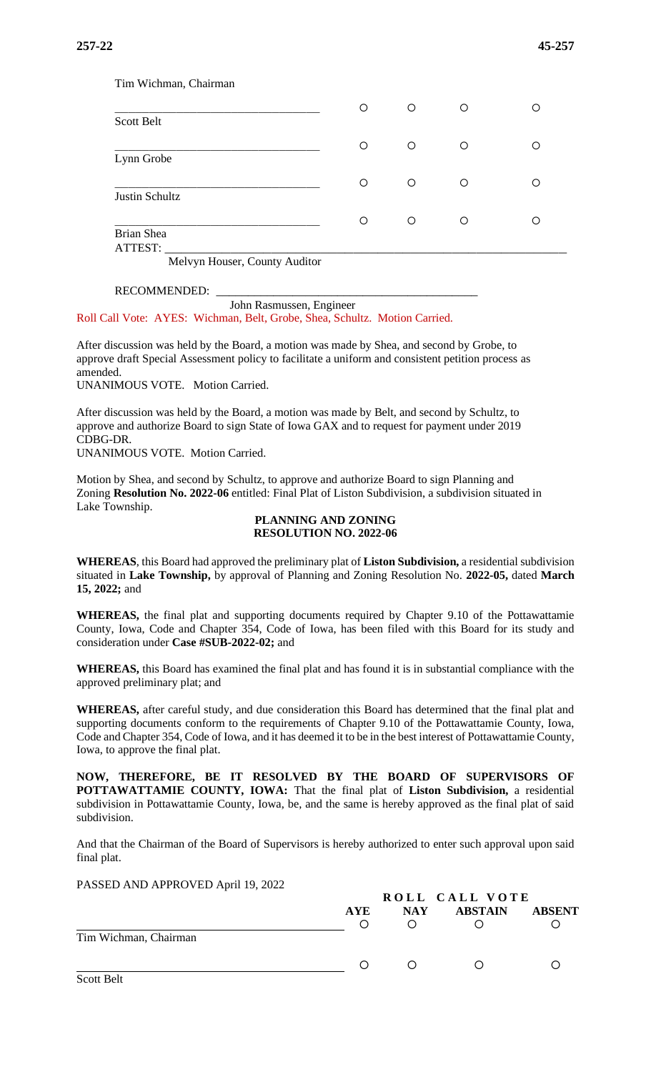### Tim Wichman, Chairman

| Scott Belt                   | O | O | O | ∩ |
|------------------------------|---|---|---|---|
| Lynn Grobe                   | O | O | O | О |
| Justin Schultz               | O | O | O | Ο |
| <b>Brian Shea</b><br>ATTEST: | O | O | O | ∩ |

Melvyn Houser, County Auditor

RECOMMENDED:

John Rasmussen, Engineer

Roll Call Vote: AYES: Wichman, Belt, Grobe, Shea, Schultz. Motion Carried.

After discussion was held by the Board, a motion was made by Shea, and second by Grobe, to approve draft Special Assessment policy to facilitate a uniform and consistent petition process as amended.

UNANIMOUS VOTE. Motion Carried.

After discussion was held by the Board, a motion was made by Belt, and second by Schultz, to approve and authorize Board to sign State of Iowa GAX and to request for payment under 2019 CDBG-DR.

UNANIMOUS VOTE. Motion Carried.

Motion by Shea, and second by Schultz, to approve and authorize Board to sign Planning and Zoning **Resolution No. 2022-06** entitled: Final Plat of Liston Subdivision, a subdivision situated in Lake Township.

### **PLANNING AND ZONING RESOLUTION NO. 2022-06**

**WHEREAS**, this Board had approved the preliminary plat of **Liston Subdivision,** a residential subdivision situated in **Lake Township,** by approval of Planning and Zoning Resolution No. **2022-05,** dated **March 15, 2022;** and

**WHEREAS,** the final plat and supporting documents required by Chapter 9.10 of the Pottawattamie County, Iowa, Code and Chapter 354, Code of Iowa, has been filed with this Board for its study and consideration under **Case #SUB-2022-02;** and

**WHEREAS,** this Board has examined the final plat and has found it is in substantial compliance with the approved preliminary plat; and

**WHEREAS,** after careful study, and due consideration this Board has determined that the final plat and supporting documents conform to the requirements of Chapter 9.10 of the Pottawattamie County, Iowa, Code and Chapter 354, Code of Iowa, and it has deemed it to be in the best interest of Pottawattamie County, Iowa, to approve the final plat.

**NOW, THEREFORE, BE IT RESOLVED BY THE BOARD OF SUPERVISORS OF POTTAWATTAMIE COUNTY, IOWA:** That the final plat of **Liston Subdivision,** a residential subdivision in Pottawattamie County, Iowa, be, and the same is hereby approved as the final plat of said subdivision.

And that the Chairman of the Board of Supervisors is hereby authorized to enter such approval upon said final plat.

PASSED AND APPROVED April 19, 2022

|                       |            | ROLL CALL VOTE   |                |               |  |  |
|-----------------------|------------|------------------|----------------|---------------|--|--|
|                       | <b>AYE</b> | <b>NAY</b>       | <b>ABSTAIN</b> | <b>ABSENT</b> |  |  |
|                       | O          |                  |                |               |  |  |
| Tim Wichman, Chairman |            |                  |                |               |  |  |
|                       | O          | $\left( \right)$ |                |               |  |  |
| Scott Belt            |            |                  |                |               |  |  |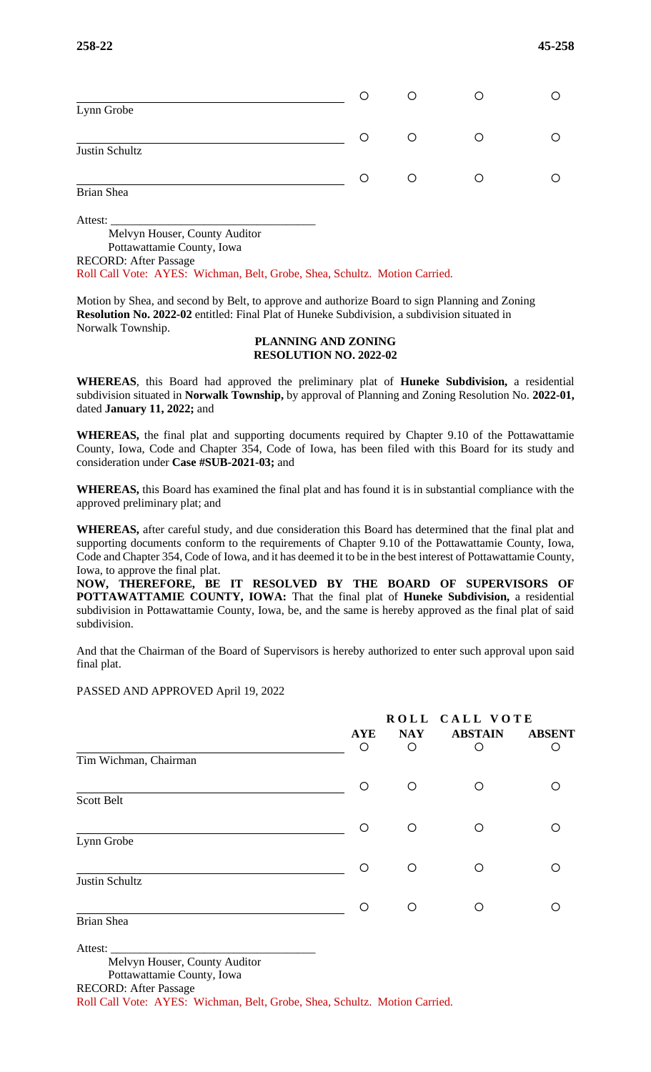| Lynn Grobe     | O | O |   |  |
|----------------|---|---|---|--|
| Justin Schultz | O | Ο | O |  |
|                | ∩ | ∩ |   |  |
| Brian Shea     |   |   |   |  |

Attest: Melvyn Houser, County Auditor Pottawattamie County, Iowa RECORD: After Passage

Roll Call Vote: AYES: Wichman, Belt, Grobe, Shea, Schultz. Motion Carried.

Motion by Shea, and second by Belt, to approve and authorize Board to sign Planning and Zoning **Resolution No. 2022-02** entitled: Final Plat of Huneke Subdivision, a subdivision situated in Norwalk Township.

### **PLANNING AND ZONING RESOLUTION NO. 2022-02**

**WHEREAS**, this Board had approved the preliminary plat of **Huneke Subdivision,** a residential subdivision situated in **Norwalk Township,** by approval of Planning and Zoning Resolution No. **2022-01,**  dated **January 11, 2022;** and

**WHEREAS,** the final plat and supporting documents required by Chapter 9.10 of the Pottawattamie County, Iowa, Code and Chapter 354, Code of Iowa, has been filed with this Board for its study and consideration under **Case #SUB-2021-03;** and

**WHEREAS,** this Board has examined the final plat and has found it is in substantial compliance with the approved preliminary plat; and

**WHEREAS,** after careful study, and due consideration this Board has determined that the final plat and supporting documents conform to the requirements of Chapter 9.10 of the Pottawattamie County, Iowa, Code and Chapter 354, Code of Iowa, and it has deemed it to be in the best interest of Pottawattamie County, Iowa, to approve the final plat.

**NOW, THEREFORE, BE IT RESOLVED BY THE BOARD OF SUPERVISORS OF POTTAWATTAMIE COUNTY, IOWA:** That the final plat of **Huneke Subdivision,** a residential subdivision in Pottawattamie County, Iowa, be, and the same is hereby approved as the final plat of said subdivision.

And that the Chairman of the Board of Supervisors is hereby authorized to enter such approval upon said final plat.

### PASSED AND APPROVED April 19, 2022

|                       |                       | ROLL CALL VOTE  |                     |                    |  |
|-----------------------|-----------------------|-----------------|---------------------|--------------------|--|
|                       | <b>AYE</b><br>$\circ$ | <b>NAY</b><br>O | <b>ABSTAIN</b><br>O | <b>ABSENT</b><br>O |  |
| Tim Wichman, Chairman |                       |                 |                     |                    |  |
|                       | O                     | O               | O                   |                    |  |
| Scott Belt            |                       |                 |                     |                    |  |
|                       | $\bigcirc$            | O               | $\circ$             |                    |  |
| Lynn Grobe            |                       |                 |                     |                    |  |
| Justin Schultz        | $\circ$               | O               | O                   |                    |  |
|                       |                       |                 |                     |                    |  |
| Brian Shea            | ◯                     | O               | Ω                   |                    |  |
|                       |                       |                 |                     |                    |  |

Attest: \_\_\_\_\_\_\_\_\_\_\_\_\_\_\_\_\_\_\_\_\_\_\_\_\_\_\_\_\_\_\_\_\_\_\_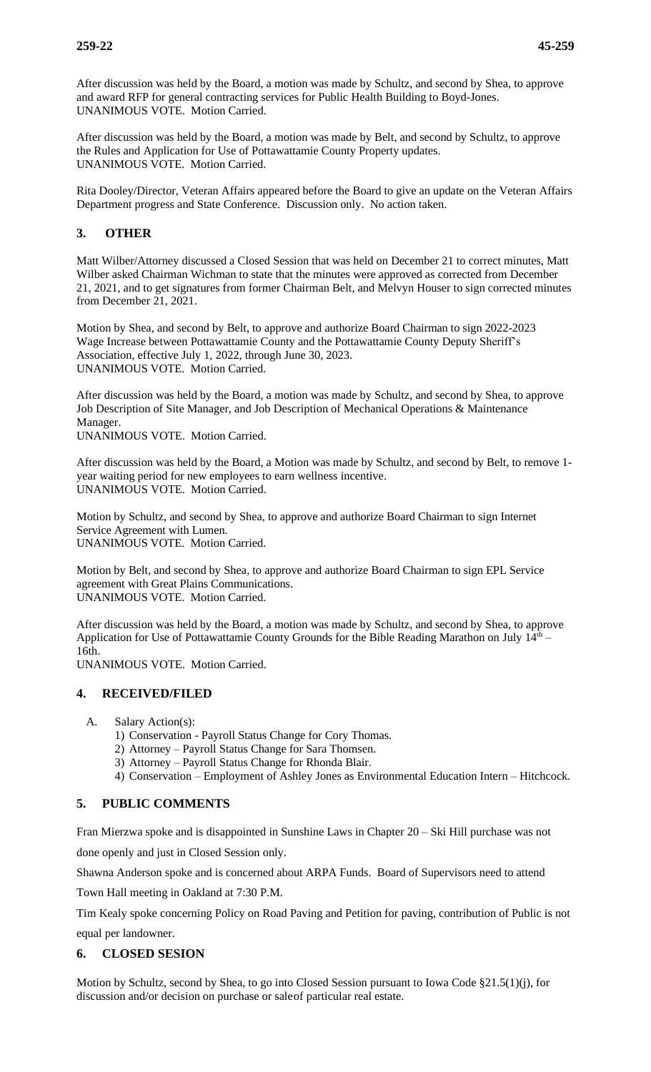After discussion was held by the Board, a motion was made by Schultz, and second by Shea, to approve and award RFP for general contracting services for Public Health Building to Boyd-Jones. UNANIMOUS VOTE. Motion Carried.

After discussion was held by the Board, a motion was made by Belt, and second by Schultz, to approve the Rules and Application for Use of Pottawattamie County Property updates. UNANIMOUS VOTE. Motion Carried.

Rita Dooley/Director, Veteran Affairs appeared before the Board to give an update on the Veteran Affairs Department progress and State Conference. Discussion only. No action taken.

# **3. OTHER**

Matt Wilber/Attorney discussed a Closed Session that was held on December 21 to correct minutes, Matt Wilber asked Chairman Wichman to state that the minutes were approved as corrected from December 21, 2021, and to get signatures from former Chairman Belt, and Melvyn Houser to sign corrected minutes from December 21, 2021.

Motion by Shea, and second by Belt, to approve and authorize Board Chairman to sign 2022-2023 Wage Increase between Pottawattamie County and the Pottawattamie County Deputy Sheriff's Association, effective July 1, 2022, through June 30, 2023. UNANIMOUS VOTE. Motion Carried.

After discussion was held by the Board, a motion was made by Schultz, and second by Shea, to approve Job Description of Site Manager, and Job Description of Mechanical Operations & Maintenance Manager.

UNANIMOUS VOTE. Motion Carried.

After discussion was held by the Board, a Motion was made by Schultz, and second by Belt, to remove 1 year waiting period for new employees to earn wellness incentive. UNANIMOUS VOTE. Motion Carried.

Motion by Schultz, and second by Shea, to approve and authorize Board Chairman to sign Internet Service Agreement with Lumen. UNANIMOUS VOTE. Motion Carried.

Motion by Belt, and second by Shea, to approve and authorize Board Chairman to sign EPL Service agreement with Great Plains Communications. UNANIMOUS VOTE. Motion Carried.

After discussion was held by the Board, a motion was made by Schultz, and second by Shea, to approve Application for Use of Pottawattamie County Grounds for the Bible Reading Marathon on July 14<sup>th</sup> – 16th.

UNANIMOUS VOTE. Motion Carried.

# **4. RECEIVED/FILED**

- A. Salary Action(s):
	- 1) Conservation Payroll Status Change for Cory Thomas.
	- 2) Attorney Payroll Status Change for Sara Thomsen.
	- 3) Attorney Payroll Status Change for Rhonda Blair.
	- 4) Conservation Employment of Ashley Jones as Environmental Education Intern Hitchcock.

# **5. PUBLIC COMMENTS**

Fran Mierzwa spoke and is disappointed in Sunshine Laws in Chapter 20 – Ski Hill purchase was not

done openly and just in Closed Session only.

Shawna Anderson spoke and is concerned about ARPA Funds. Board of Supervisors need to attend

Town Hall meeting in Oakland at 7:30 P.M.

Tim Kealy spoke concerning Policy on Road Paving and Petition for paving, contribution of Public is not equal per landowner.

# **6. CLOSED SESION**

Motion by Schultz, second by Shea, to go into Closed Session pursuant to Iowa Code §21.5(1)(j), for discussion and/or decision on purchase or sale of particular real estate.